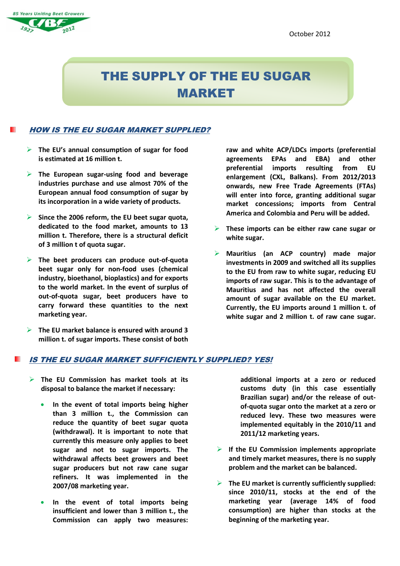# **85 Years Uniting Beet Growers**

# THE SUPPLY OF THE EU SUGAR MARKET

### HOW IS THE EU SUGAR MARKET SUPPLIED?

- **The EU's annual consumption of sugar for food is estimated at 16 million t.**
- **The European sugar-using food and beverage industries purchase and use almost 70% of the European annual food consumption of sugar by its incorporation in a wide variety of products.**
- **Since the 2006 reform, the EU beet sugar quota, dedicated to the food market, amounts to 13 million t. Therefore, there is a structural deficit of 3 million t of quota sugar.**
- **The beet producers can produce out-of-quota beet sugar only for non-food uses (chemical industry, bioethanol, bioplastics) and for exports to the world market. In the event of surplus of out-of-quota sugar, beet producers have to carry forward these quantities to the next marketing year.**
- **The EU market balance is ensured with around 3 million t. of sugar imports. These consist of both**

**raw and white ACP/LDCs imports (preferential agreements EPAs and EBA) and other preferential imports resulting from EU enlargement (CXL, Balkans). From 2012/2013 onwards, new Free Trade Agreements (FTAs) will enter into force, granting additional sugar market concessions; imports from Central America and Colombia and Peru will be added.**

- **These imports can be either raw cane sugar or white sugar.**
- **Mauritius (an ACP country) made major investments in 2009 and switched all its supplies to the EU from raw to white sugar, reducing EU imports of raw sugar. This is to the advantage of Mauritius and has not affected the overall amount of sugar available on the EU market. Currently, the EU imports around 1 million t. of white sugar and 2 million t. of raw cane sugar.**

## IS THE EU SUGAR MARKET SUFFICIENTLY SUPPLIED? YES!

- **The EU Commission has market tools at its disposal to balance the market if necessary:**
	- **In the event of total imports being higher than 3 million t., the Commission can reduce the quantity of beet sugar quota (withdrawal). It is important to note that currently this measure only applies to beet sugar and not to sugar imports. The withdrawal affects beet growers and beet sugar producers but not raw cane sugar refiners. It was implemented in the 2007/08 marketing year.**
	- **In the event of total imports being insufficient and lower than 3 million t., the Commission can apply two measures:**

**additional imports at a zero or reduced customs duty (in this case essentially Brazilian sugar) and/or the release of outof-quota sugar onto the market at a zero or reduced levy. These two measures were implemented equitably in the 2010/11 and 2011/12 marketing years.**

- **If the EU Commission implements appropriate and timely market measures, there is no supply problem and the market can be balanced.**
- **The EU market is currently sufficiently supplied: since 2010/11, stocks at the end of the marketing year (average 14% of food consumption) are higher than stocks at the beginning of the marketing year.**